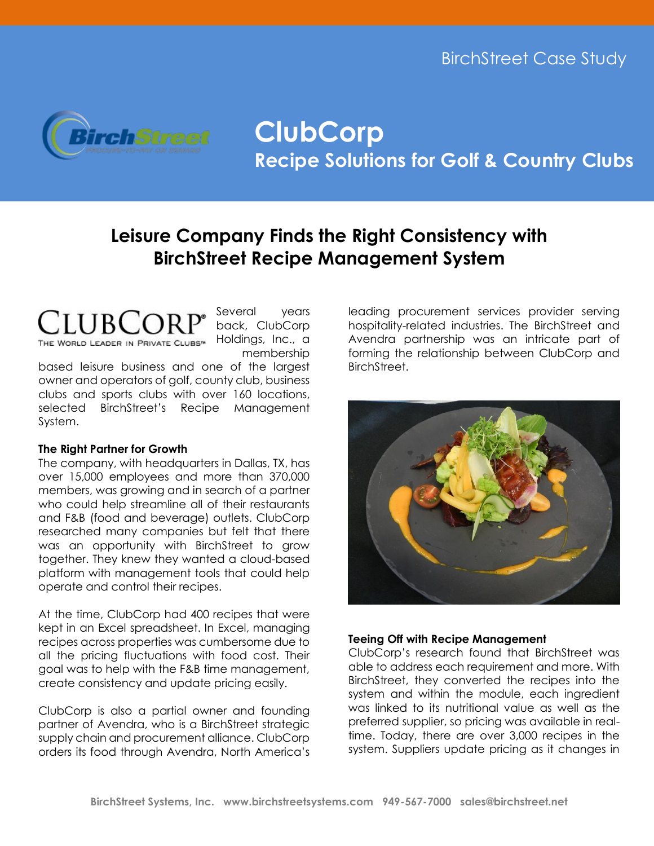

**ClubCorp Recipe Solutions for Golf & Country Clubs**

# **Leisure Company Finds the Right Consistency with BirchStreet Recipe Management System**

# CLUBCOR

VORID LEADER IN PRIVATE CLUBSN

Several years back, ClubCorp Holdings, Inc., a membership

based leisure business and one of the largest owner and operators of golf, county club, business clubs and sports clubs with over 160 locations, selected BirchStreet's Recipe Management System.

## **The Right Partner for Growth**

The company, with headquarters in Dallas, TX, has over 15,000 employees and more than 370,000 members, was growing and in search of a partner who could help streamline all of their restaurants and F&B (food and beverage) outlets. ClubCorp researched many companies but felt that there was an opportunity with BirchStreet to grow together. They knew they wanted a cloud-based platform with management tools that could help operate and control their recipes.

At the time, ClubCorp had 400 recipes that were kept in an Excel spreadsheet. In Excel, managing recipes across properties was cumbersome due to all the pricing fluctuations with food cost. Their goal was to help with the F&B time management, create consistency and update pricing easily.

ClubCorp is also a partial owner and founding partner of Avendra, who is a BirchStreet strategic supply chain and procurement alliance. ClubCorp orders its food through Avendra, North America's

leading procurement services provider serving hospitality-related industries. The BirchStreet and Avendra partnership was an intricate part of forming the relationship between ClubCorp and BirchStreet.



#### **Teeing Off with Recipe Management**

ClubCorp's research found that BirchStreet was able to address each requirement and more. With BirchStreet, they converted the recipes into the system and within the module, each ingredient was linked to its nutritional value as well as the preferred supplier, so pricing was available in realtime. Today, there are over 3,000 recipes in the system. Suppliers update pricing as it changes in